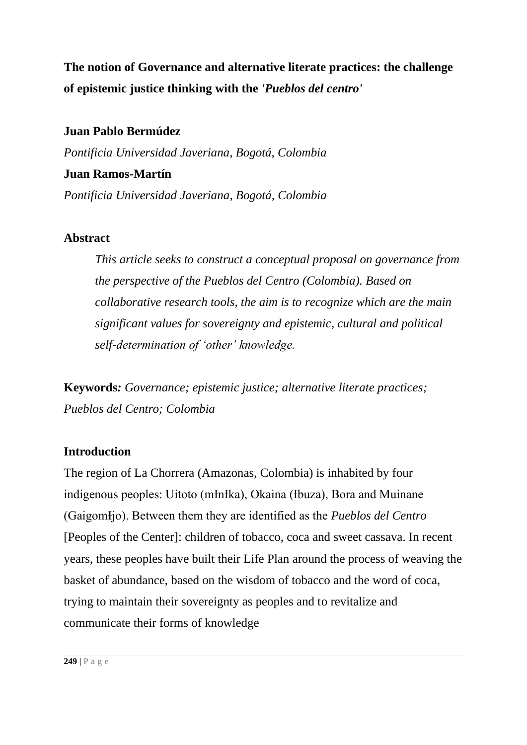**The notion of Governance and alternative literate practices: the challenge of epistemic justice thinking with the** *'Pueblos del centro'*

## **Juan Pablo Bermúdez**

*Pontificia Universidad Javeriana, Bogotá, Colombia*

### **Juan Ramos-Martín**

*Pontificia Universidad Javeriana, Bogotá, Colombia*

## **Abstract**

*This article seeks to construct a conceptual proposal on governance from the perspective of the Pueblos del Centro (Colombia). Based on collaborative research tools, the aim is to recognize which are the main significant values for sovereignty and epistemic, cultural and political self-determination of 'other' knowledge.*

**Keywords***: Governance; epistemic justice; alternative literate practices; Pueblos del Centro; Colombia*

## **Introduction**

The region of La Chorrera (Amazonas, Colombia) is inhabited by four indigenous peoples: Uitoto (mInIka), Okaina (Ibuza), Bora and Muinane (GaigomƗjo). Between them they are identified as the *Pueblos del Centro* [Peoples of the Center]: children of tobacco, coca and sweet cassava. In recent years, these peoples have built their Life Plan around the process of weaving the basket of abundance, based on the wisdom of tobacco and the word of coca, trying to maintain their sovereignty as peoples and to revitalize and communicate their forms of knowledge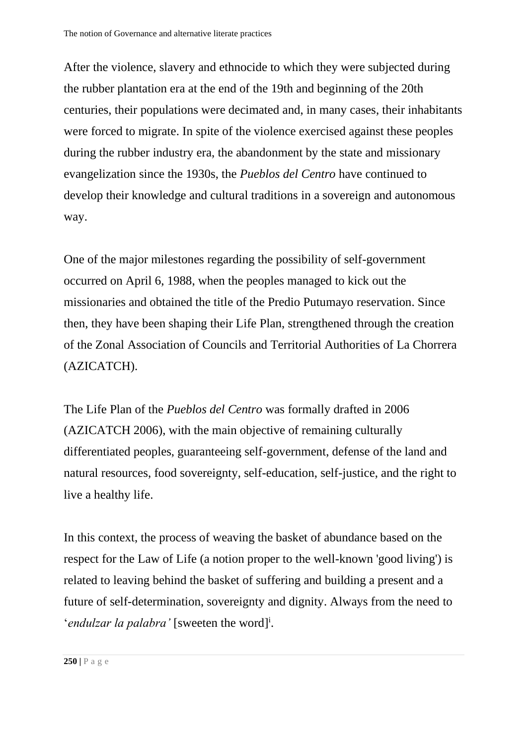After the violence, slavery and ethnocide to which they were subjected during the rubber plantation era at the end of the 19th and beginning of the 20th centuries, their populations were decimated and, in many cases, their inhabitants were forced to migrate. In spite of the violence exercised against these peoples during the rubber industry era, the abandonment by the state and missionary evangelization since the 1930s, the *Pueblos del Centro* have continued to develop their knowledge and cultural traditions in a sovereign and autonomous way.

One of the major milestones regarding the possibility of self-government occurred on April 6, 1988, when the peoples managed to kick out the missionaries and obtained the title of the Predio Putumayo reservation. Since then, they have been shaping their Life Plan, strengthened through the creation of the Zonal Association of Councils and Territorial Authorities of La Chorrera (AZICATCH).

The Life Plan of the *Pueblos del Centro* was formally drafted in 2006 (AZICATCH 2006), with the main objective of remaining culturally differentiated peoples, guaranteeing self-government, defense of the land and natural resources, food sovereignty, self-education, self-justice, and the right to live a healthy life.

In this context, the process of weaving the basket of abundance based on the respect for the Law of Life (a notion proper to the well-known 'good living') is related to leaving behind the basket of suffering and building a present and a future of self-determination, sovereignty and dignity. Always from the need to 'endulzar la palabra' [sweeten the word]<sup>i</sup>.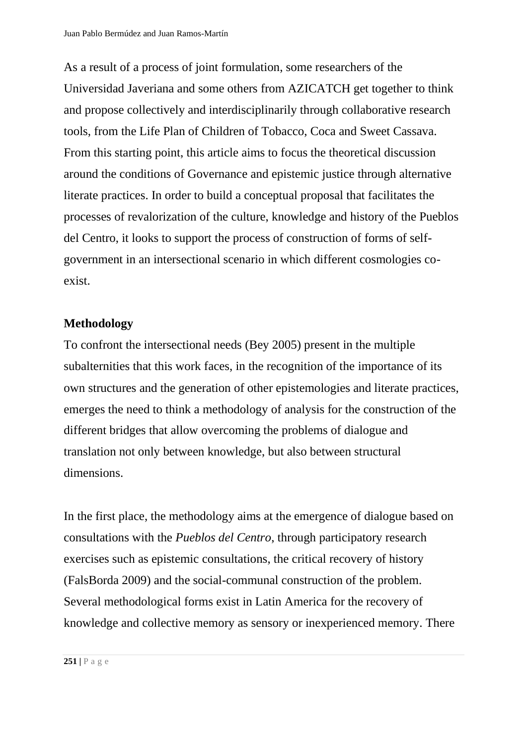As a result of a process of joint formulation, some researchers of the Universidad Javeriana and some others from AZICATCH get together to think and propose collectively and interdisciplinarily through collaborative research tools, from the Life Plan of Children of Tobacco, Coca and Sweet Cassava. From this starting point, this article aims to focus the theoretical discussion around the conditions of Governance and epistemic justice through alternative literate practices. In order to build a conceptual proposal that facilitates the processes of revalorization of the culture, knowledge and history of the Pueblos del Centro, it looks to support the process of construction of forms of selfgovernment in an intersectional scenario in which different cosmologies coexist.

## **Methodology**

To confront the intersectional needs (Bey 2005) present in the multiple subalternities that this work faces, in the recognition of the importance of its own structures and the generation of other epistemologies and literate practices, emerges the need to think a methodology of analysis for the construction of the different bridges that allow overcoming the problems of dialogue and translation not only between knowledge, but also between structural dimensions.

In the first place, the methodology aims at the emergence of dialogue based on consultations with the *Pueblos del Centro*, through participatory research exercises such as epistemic consultations, the critical recovery of history (FalsBorda 2009) and the social-communal construction of the problem. Several methodological forms exist in Latin America for the recovery of knowledge and collective memory as sensory or inexperienced memory. There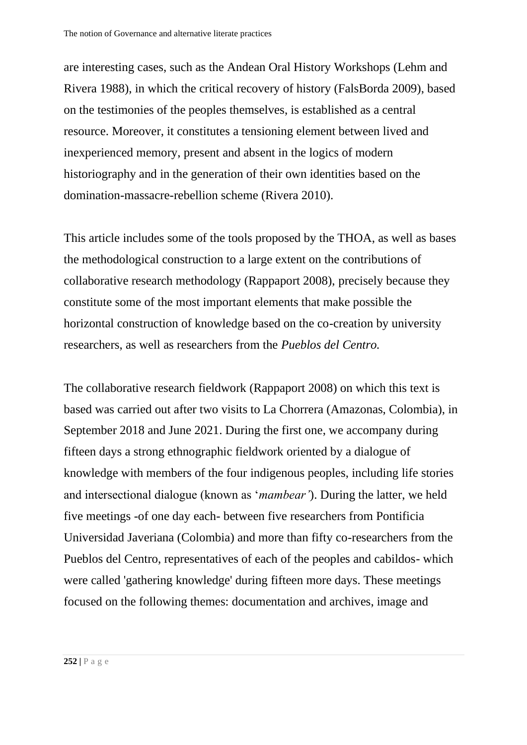are interesting cases, such as the Andean Oral History Workshops (Lehm and Rivera 1988), in which the critical recovery of history (FalsBorda 2009), based on the testimonies of the peoples themselves, is established as a central resource. Moreover, it constitutes a tensioning element between lived and inexperienced memory, present and absent in the logics of modern historiography and in the generation of their own identities based on the domination-massacre-rebellion scheme (Rivera 2010).

This article includes some of the tools proposed by the THOA, as well as bases the methodological construction to a large extent on the contributions of collaborative research methodology (Rappaport 2008), precisely because they constitute some of the most important elements that make possible the horizontal construction of knowledge based on the co-creation by university researchers, as well as researchers from the *Pueblos del Centro.*

The collaborative research fieldwork (Rappaport 2008) on which this text is based was carried out after two visits to La Chorrera (Amazonas, Colombia), in September 2018 and June 2021. During the first one, we accompany during fifteen days a strong ethnographic fieldwork oriented by a dialogue of knowledge with members of the four indigenous peoples, including life stories and intersectional dialogue (known as '*mambear'*). During the latter, we held five meetings -of one day each- between five researchers from Pontificia Universidad Javeriana (Colombia) and more than fifty co-researchers from the Pueblos del Centro, representatives of each of the peoples and cabildos- which were called 'gathering knowledge' during fifteen more days. These meetings focused on the following themes: documentation and archives, image and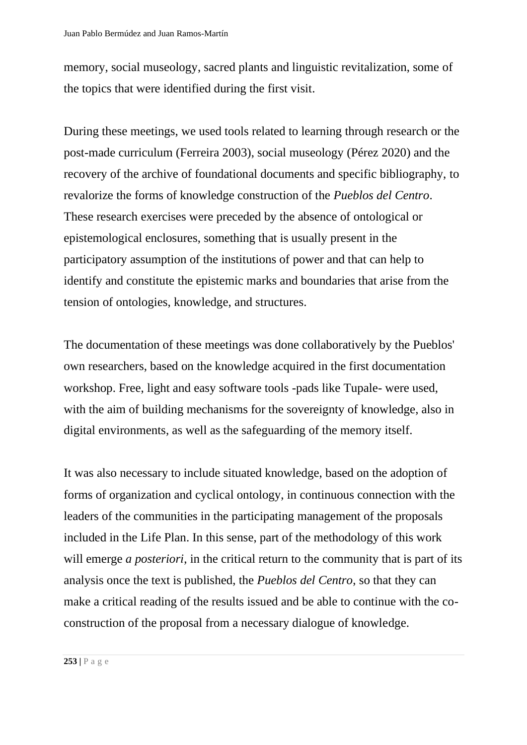memory, social museology, sacred plants and linguistic revitalization, some of the topics that were identified during the first visit.

During these meetings, we used tools related to learning through research or the post-made curriculum (Ferreira 2003), social museology (Pérez 2020) and the recovery of the archive of foundational documents and specific bibliography, to revalorize the forms of knowledge construction of the *Pueblos del Centro*. These research exercises were preceded by the absence of ontological or epistemological enclosures, something that is usually present in the participatory assumption of the institutions of power and that can help to identify and constitute the epistemic marks and boundaries that arise from the tension of ontologies, knowledge, and structures.

The documentation of these meetings was done collaboratively by the Pueblos' own researchers, based on the knowledge acquired in the first documentation workshop. Free, light and easy software tools -pads like Tupale- were used, with the aim of building mechanisms for the sovereignty of knowledge, also in digital environments, as well as the safeguarding of the memory itself.

It was also necessary to include situated knowledge, based on the adoption of forms of organization and cyclical ontology, in continuous connection with the leaders of the communities in the participating management of the proposals included in the Life Plan. In this sense, part of the methodology of this work will emerge *a posteriori*, in the critical return to the community that is part of its analysis once the text is published, the *Pueblos del Centro*, so that they can make a critical reading of the results issued and be able to continue with the coconstruction of the proposal from a necessary dialogue of knowledge.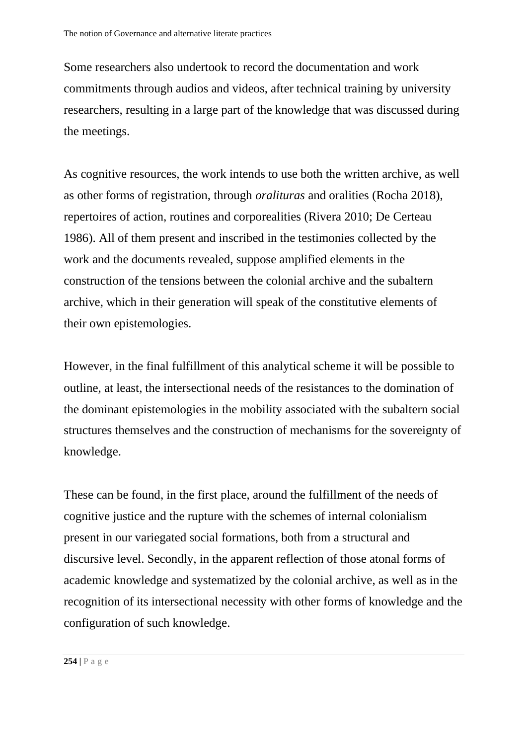Some researchers also undertook to record the documentation and work commitments through audios and videos, after technical training by university researchers, resulting in a large part of the knowledge that was discussed during the meetings.

As cognitive resources, the work intends to use both the written archive, as well as other forms of registration, through *oralituras* and oralities (Rocha 2018), repertoires of action, routines and corporealities (Rivera 2010; De Certeau 1986). All of them present and inscribed in the testimonies collected by the work and the documents revealed, suppose amplified elements in the construction of the tensions between the colonial archive and the subaltern archive, which in their generation will speak of the constitutive elements of their own epistemologies.

However, in the final fulfillment of this analytical scheme it will be possible to outline, at least, the intersectional needs of the resistances to the domination of the dominant epistemologies in the mobility associated with the subaltern social structures themselves and the construction of mechanisms for the sovereignty of knowledge.

These can be found, in the first place, around the fulfillment of the needs of cognitive justice and the rupture with the schemes of internal colonialism present in our variegated social formations, both from a structural and discursive level. Secondly, in the apparent reflection of those atonal forms of academic knowledge and systematized by the colonial archive, as well as in the recognition of its intersectional necessity with other forms of knowledge and the configuration of such knowledge.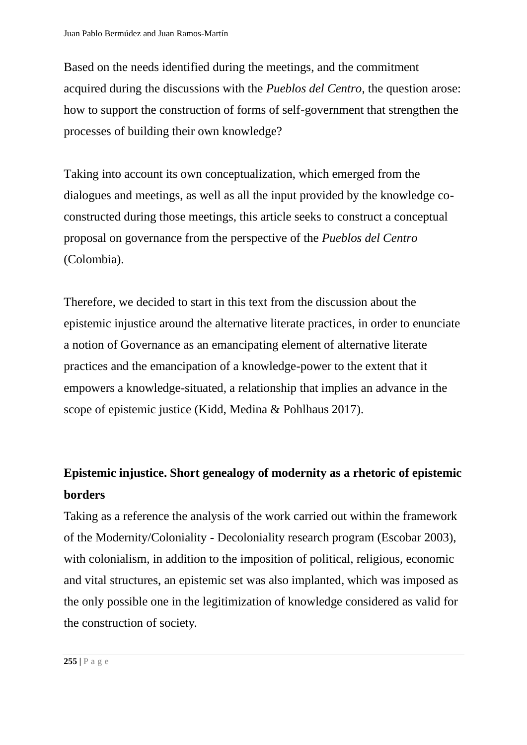Based on the needs identified during the meetings, and the commitment acquired during the discussions with the *Pueblos del Centro*, the question arose: how to support the construction of forms of self-government that strengthen the processes of building their own knowledge?

Taking into account its own conceptualization, which emerged from the dialogues and meetings, as well as all the input provided by the knowledge coconstructed during those meetings, this article seeks to construct a conceptual proposal on governance from the perspective of the *Pueblos del Centro* (Colombia).

Therefore, we decided to start in this text from the discussion about the epistemic injustice around the alternative literate practices, in order to enunciate a notion of Governance as an emancipating element of alternative literate practices and the emancipation of a knowledge-power to the extent that it empowers a knowledge-situated, a relationship that implies an advance in the scope of epistemic justice (Kidd, Medina & Pohlhaus 2017).

# **Epistemic injustice. Short genealogy of modernity as a rhetoric of epistemic borders**

Taking as a reference the analysis of the work carried out within the framework of the Modernity/Coloniality - Decoloniality research program (Escobar 2003), with colonialism, in addition to the imposition of political, religious, economic and vital structures, an epistemic set was also implanted, which was imposed as the only possible one in the legitimization of knowledge considered as valid for the construction of society.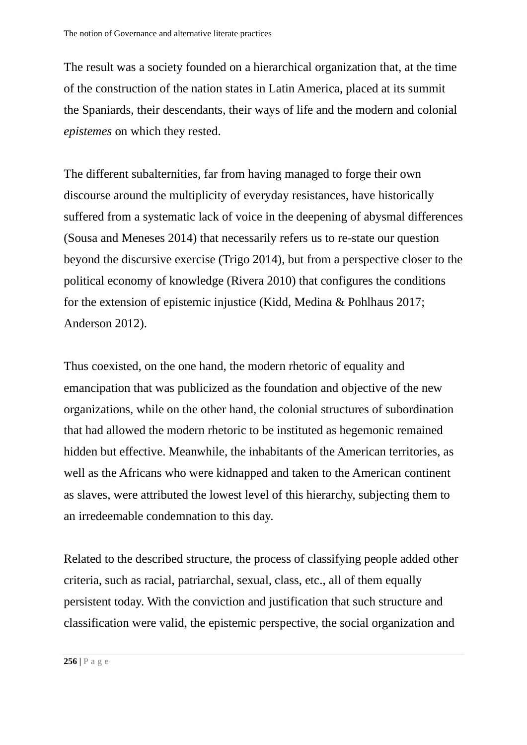The result was a society founded on a hierarchical organization that, at the time of the construction of the nation states in Latin America, placed at its summit the Spaniards, their descendants, their ways of life and the modern and colonial *epistemes* on which they rested.

The different subalternities, far from having managed to forge their own discourse around the multiplicity of everyday resistances, have historically suffered from a systematic lack of voice in the deepening of abysmal differences (Sousa and Meneses 2014) that necessarily refers us to re-state our question beyond the discursive exercise (Trigo 2014), but from a perspective closer to the political economy of knowledge (Rivera 2010) that configures the conditions for the extension of epistemic injustice (Kidd, Medina & Pohlhaus 2017; Anderson 2012).

Thus coexisted, on the one hand, the modern rhetoric of equality and emancipation that was publicized as the foundation and objective of the new organizations, while on the other hand, the colonial structures of subordination that had allowed the modern rhetoric to be instituted as hegemonic remained hidden but effective. Meanwhile, the inhabitants of the American territories, as well as the Africans who were kidnapped and taken to the American continent as slaves, were attributed the lowest level of this hierarchy, subjecting them to an irredeemable condemnation to this day.

Related to the described structure, the process of classifying people added other criteria, such as racial, patriarchal, sexual, class, etc., all of them equally persistent today. With the conviction and justification that such structure and classification were valid, the epistemic perspective, the social organization and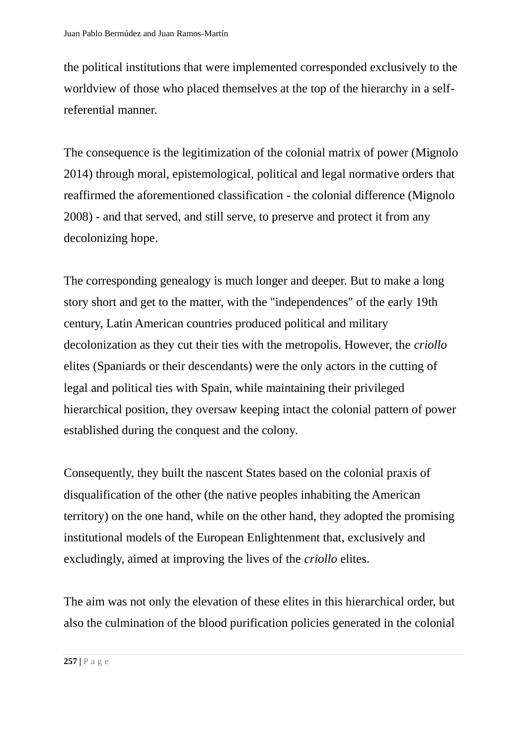the political institutions that were implemented corresponded exclusively to the worldview of those who placed themselves at the top of the hierarchy in a selfreferential manner.

The consequence is the legitimization of the colonial matrix of power (Mignolo 2014) through moral, epistemological, political and legal normative orders that reaffirmed the aforementioned classification - the colonial difference (Mignolo 2008) - and that served, and still serve, to preserve and protect it from any decolonizing hope.

The corresponding genealogy is much longer and deeper. But to make a long story short and get to the matter, with the "independences" of the early 19th century, Latin American countries produced political and military decolonization as they cut their ties with the metropolis. However, the *criollo* elites (Spaniards or their descendants) were the only actors in the cutting of legal and political ties with Spain, while maintaining their privileged hierarchical position, they oversaw keeping intact the colonial pattern of power established during the conquest and the colony.

Consequently, they built the nascent States based on the colonial praxis of disqualification of the other (the native peoples inhabiting the American territory) on the one hand, while on the other hand, they adopted the promising institutional models of the European Enlightenment that, exclusively and excludingly, aimed at improving the lives of the *criollo* elites.

The aim was not only the elevation of these elites in this hierarchical order, but also the culmination of the blood purification policies generated in the colonial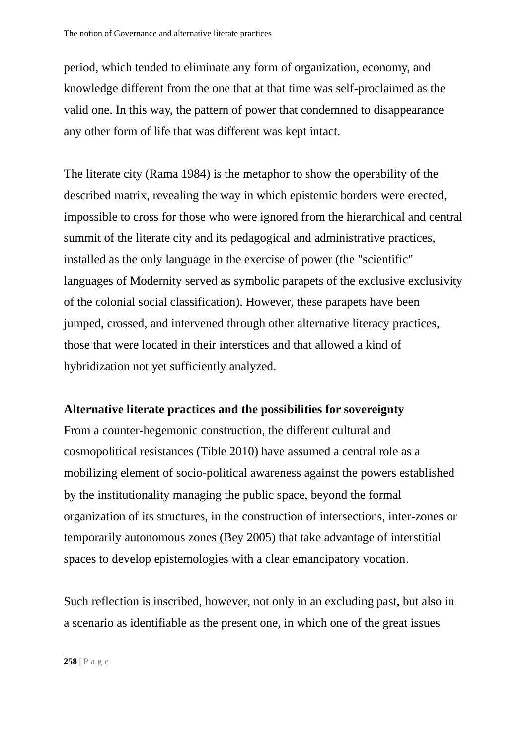period, which tended to eliminate any form of organization, economy, and knowledge different from the one that at that time was self-proclaimed as the valid one. In this way, the pattern of power that condemned to disappearance any other form of life that was different was kept intact.

The literate city (Rama 1984) is the metaphor to show the operability of the described matrix, revealing the way in which epistemic borders were erected, impossible to cross for those who were ignored from the hierarchical and central summit of the literate city and its pedagogical and administrative practices, installed as the only language in the exercise of power (the "scientific" languages of Modernity served as symbolic parapets of the exclusive exclusivity of the colonial social classification). However, these parapets have been jumped, crossed, and intervened through other alternative literacy practices, those that were located in their interstices and that allowed a kind of hybridization not yet sufficiently analyzed.

## **Alternative literate practices and the possibilities for sovereignty**

From a counter-hegemonic construction, the different cultural and cosmopolitical resistances (Tible 2010) have assumed a central role as a mobilizing element of socio-political awareness against the powers established by the institutionality managing the public space, beyond the formal organization of its structures, in the construction of intersections, inter-zones or temporarily autonomous zones (Bey 2005) that take advantage of interstitial spaces to develop epistemologies with a clear emancipatory vocation.

Such reflection is inscribed, however, not only in an excluding past, but also in a scenario as identifiable as the present one, in which one of the great issues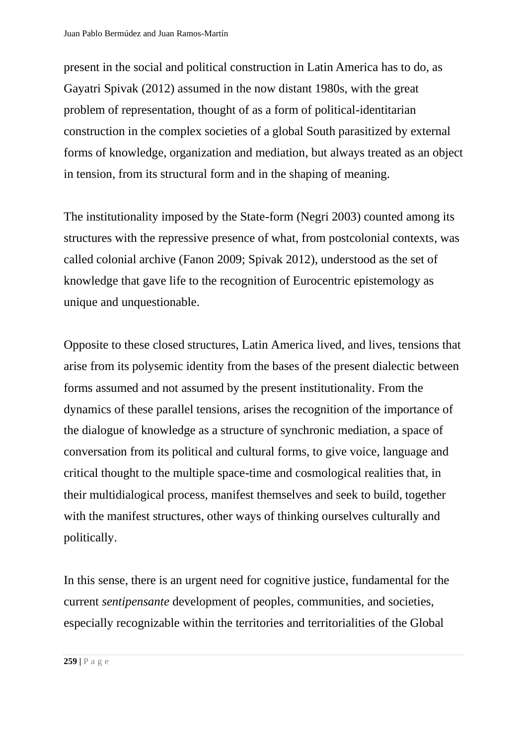present in the social and political construction in Latin America has to do, as Gayatri Spivak (2012) assumed in the now distant 1980s, with the great problem of representation, thought of as a form of political-identitarian construction in the complex societies of a global South parasitized by external forms of knowledge, organization and mediation, but always treated as an object in tension, from its structural form and in the shaping of meaning.

The institutionality imposed by the State-form (Negri 2003) counted among its structures with the repressive presence of what, from postcolonial contexts, was called colonial archive (Fanon 2009; Spivak 2012), understood as the set of knowledge that gave life to the recognition of Eurocentric epistemology as unique and unquestionable.

Opposite to these closed structures, Latin America lived, and lives, tensions that arise from its polysemic identity from the bases of the present dialectic between forms assumed and not assumed by the present institutionality. From the dynamics of these parallel tensions, arises the recognition of the importance of the dialogue of knowledge as a structure of synchronic mediation, a space of conversation from its political and cultural forms, to give voice, language and critical thought to the multiple space-time and cosmological realities that, in their multidialogical process, manifest themselves and seek to build, together with the manifest structures, other ways of thinking ourselves culturally and politically.

In this sense, there is an urgent need for cognitive justice, fundamental for the current *sentipensante* development of peoples, communities, and societies, especially recognizable within the territories and territorialities of the Global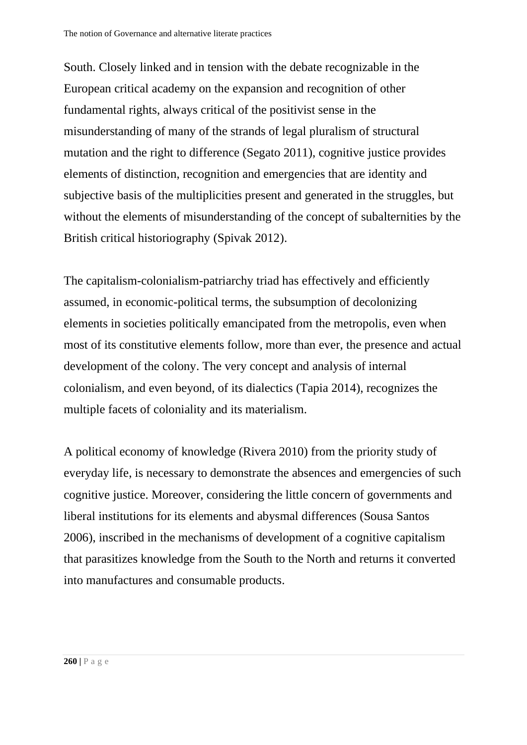South. Closely linked and in tension with the debate recognizable in the European critical academy on the expansion and recognition of other fundamental rights, always critical of the positivist sense in the misunderstanding of many of the strands of legal pluralism of structural mutation and the right to difference (Segato 2011), cognitive justice provides elements of distinction, recognition and emergencies that are identity and subjective basis of the multiplicities present and generated in the struggles, but without the elements of misunderstanding of the concept of subalternities by the British critical historiography (Spivak 2012).

The capitalism-colonialism-patriarchy triad has effectively and efficiently assumed, in economic-political terms, the subsumption of decolonizing elements in societies politically emancipated from the metropolis, even when most of its constitutive elements follow, more than ever, the presence and actual development of the colony. The very concept and analysis of internal colonialism, and even beyond, of its dialectics (Tapia 2014), recognizes the multiple facets of coloniality and its materialism.

A political economy of knowledge (Rivera 2010) from the priority study of everyday life, is necessary to demonstrate the absences and emergencies of such cognitive justice. Moreover, considering the little concern of governments and liberal institutions for its elements and abysmal differences (Sousa Santos 2006), inscribed in the mechanisms of development of a cognitive capitalism that parasitizes knowledge from the South to the North and returns it converted into manufactures and consumable products.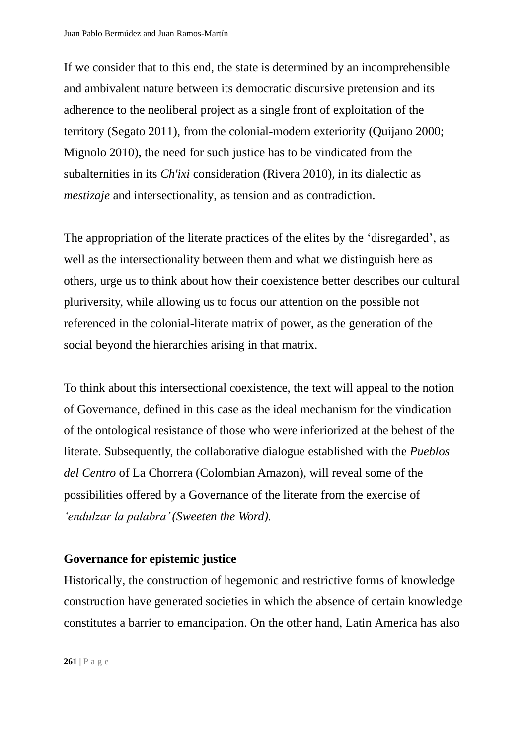If we consider that to this end, the state is determined by an incomprehensible and ambivalent nature between its democratic discursive pretension and its adherence to the neoliberal project as a single front of exploitation of the territory (Segato 2011), from the colonial-modern exteriority (Quijano 2000; Mignolo 2010), the need for such justice has to be vindicated from the subalternities in its *Ch'ixi* consideration (Rivera 2010), in its dialectic as *mestizaje* and intersectionality, as tension and as contradiction.

The appropriation of the literate practices of the elites by the 'disregarded', as well as the intersectionality between them and what we distinguish here as others, urge us to think about how their coexistence better describes our cultural pluriversity, while allowing us to focus our attention on the possible not referenced in the colonial-literate matrix of power, as the generation of the social beyond the hierarchies arising in that matrix.

To think about this intersectional coexistence, the text will appeal to the notion of Governance, defined in this case as the ideal mechanism for the vindication of the ontological resistance of those who were inferiorized at the behest of the literate. Subsequently, the collaborative dialogue established with the *Pueblos del Centro* of La Chorrera (Colombian Amazon), will reveal some of the possibilities offered by a Governance of the literate from the exercise of *'endulzar la palabra'(Sweeten the Word).*

## **Governance for epistemic justice**

Historically, the construction of hegemonic and restrictive forms of knowledge construction have generated societies in which the absence of certain knowledge constitutes a barrier to emancipation. On the other hand, Latin America has also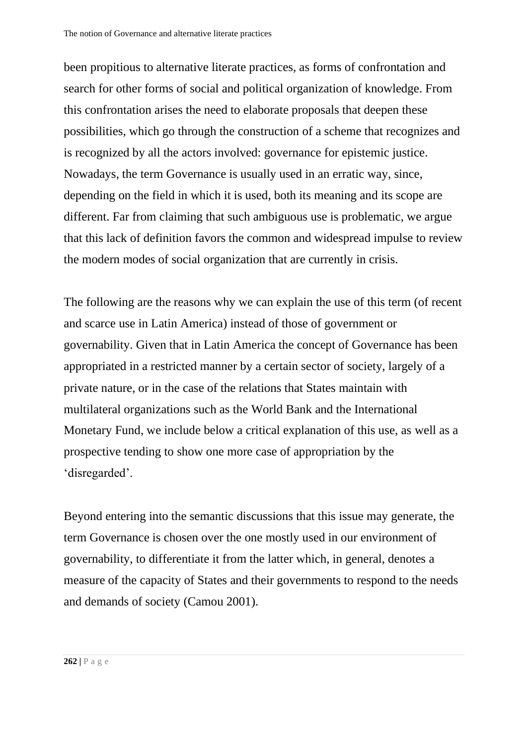been propitious to alternative literate practices, as forms of confrontation and search for other forms of social and political organization of knowledge. From this confrontation arises the need to elaborate proposals that deepen these possibilities, which go through the construction of a scheme that recognizes and is recognized by all the actors involved: governance for epistemic justice. Nowadays, the term Governance is usually used in an erratic way, since, depending on the field in which it is used, both its meaning and its scope are different. Far from claiming that such ambiguous use is problematic, we argue that this lack of definition favors the common and widespread impulse to review the modern modes of social organization that are currently in crisis.

The following are the reasons why we can explain the use of this term (of recent and scarce use in Latin America) instead of those of government or governability. Given that in Latin America the concept of Governance has been appropriated in a restricted manner by a certain sector of society, largely of a private nature, or in the case of the relations that States maintain with multilateral organizations such as the World Bank and the International Monetary Fund, we include below a critical explanation of this use, as well as a prospective tending to show one more case of appropriation by the 'disregarded'.

Beyond entering into the semantic discussions that this issue may generate, the term Governance is chosen over the one mostly used in our environment of governability, to differentiate it from the latter which, in general, denotes a measure of the capacity of States and their governments to respond to the needs and demands of society (Camou 2001).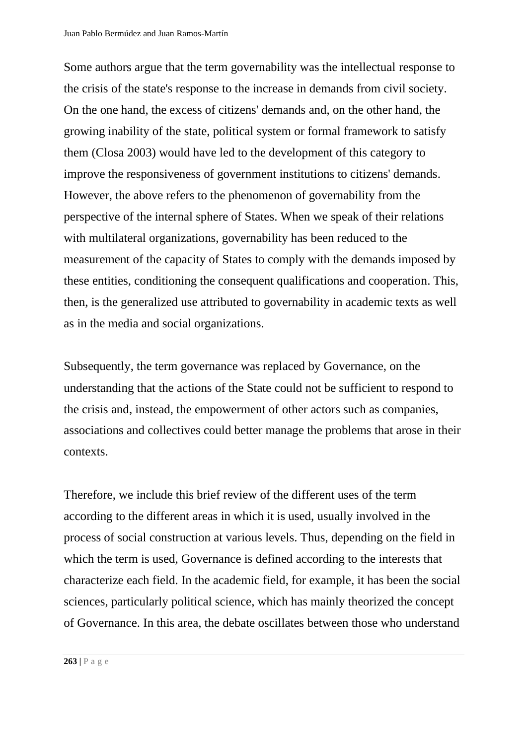Some authors argue that the term governability was the intellectual response to the crisis of the state's response to the increase in demands from civil society. On the one hand, the excess of citizens' demands and, on the other hand, the growing inability of the state, political system or formal framework to satisfy them (Closa 2003) would have led to the development of this category to improve the responsiveness of government institutions to citizens' demands. However, the above refers to the phenomenon of governability from the perspective of the internal sphere of States. When we speak of their relations with multilateral organizations, governability has been reduced to the measurement of the capacity of States to comply with the demands imposed by these entities, conditioning the consequent qualifications and cooperation. This, then, is the generalized use attributed to governability in academic texts as well as in the media and social organizations.

Subsequently, the term governance was replaced by Governance, on the understanding that the actions of the State could not be sufficient to respond to the crisis and, instead, the empowerment of other actors such as companies, associations and collectives could better manage the problems that arose in their contexts.

Therefore, we include this brief review of the different uses of the term according to the different areas in which it is used, usually involved in the process of social construction at various levels. Thus, depending on the field in which the term is used, Governance is defined according to the interests that characterize each field. In the academic field, for example, it has been the social sciences, particularly political science, which has mainly theorized the concept of Governance. In this area, the debate oscillates between those who understand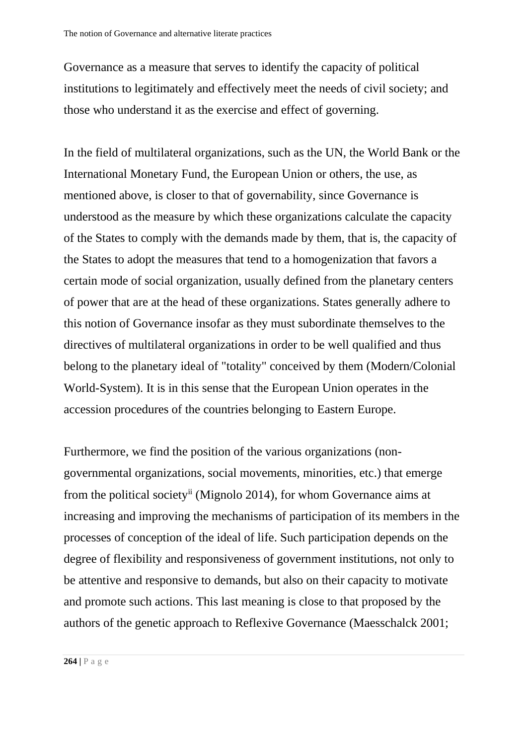Governance as a measure that serves to identify the capacity of political institutions to legitimately and effectively meet the needs of civil society; and those who understand it as the exercise and effect of governing.

In the field of multilateral organizations, such as the UN, the World Bank or the International Monetary Fund, the European Union or others, the use, as mentioned above, is closer to that of governability, since Governance is understood as the measure by which these organizations calculate the capacity of the States to comply with the demands made by them, that is, the capacity of the States to adopt the measures that tend to a homogenization that favors a certain mode of social organization, usually defined from the planetary centers of power that are at the head of these organizations. States generally adhere to this notion of Governance insofar as they must subordinate themselves to the directives of multilateral organizations in order to be well qualified and thus belong to the planetary ideal of "totality" conceived by them (Modern/Colonial World-System). It is in this sense that the European Union operates in the accession procedures of the countries belonging to Eastern Europe.

Furthermore, we find the position of the various organizations (nongovernmental organizations, social movements, minorities, etc.) that emerge from the political societyii (Mignolo 2014), for whom Governance aims at increasing and improving the mechanisms of participation of its members in the processes of conception of the ideal of life. Such participation depends on the degree of flexibility and responsiveness of government institutions, not only to be attentive and responsive to demands, but also on their capacity to motivate and promote such actions. This last meaning is close to that proposed by the authors of the genetic approach to Reflexive Governance (Maesschalck 2001;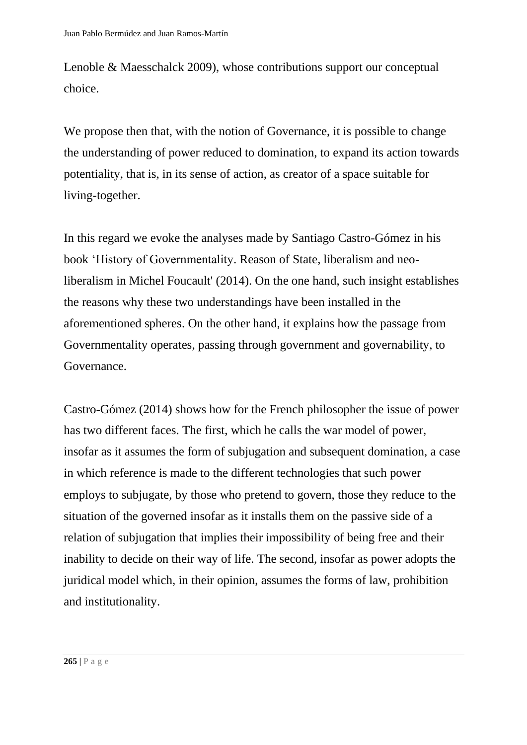Lenoble & Maesschalck 2009), whose contributions support our conceptual choice.

We propose then that, with the notion of Governance, it is possible to change the understanding of power reduced to domination, to expand its action towards potentiality, that is, in its sense of action, as creator of a space suitable for living-together.

In this regard we evoke the analyses made by Santiago Castro-Gómez in his book 'History of Governmentality. Reason of State, liberalism and neoliberalism in Michel Foucault' (2014). On the one hand, such insight establishes the reasons why these two understandings have been installed in the aforementioned spheres. On the other hand, it explains how the passage from Governmentality operates, passing through government and governability, to Governance.

Castro-Gómez (2014) shows how for the French philosopher the issue of power has two different faces. The first, which he calls the war model of power, insofar as it assumes the form of subjugation and subsequent domination, a case in which reference is made to the different technologies that such power employs to subjugate, by those who pretend to govern, those they reduce to the situation of the governed insofar as it installs them on the passive side of a relation of subjugation that implies their impossibility of being free and their inability to decide on their way of life. The second, insofar as power adopts the juridical model which, in their opinion, assumes the forms of law, prohibition and institutionality.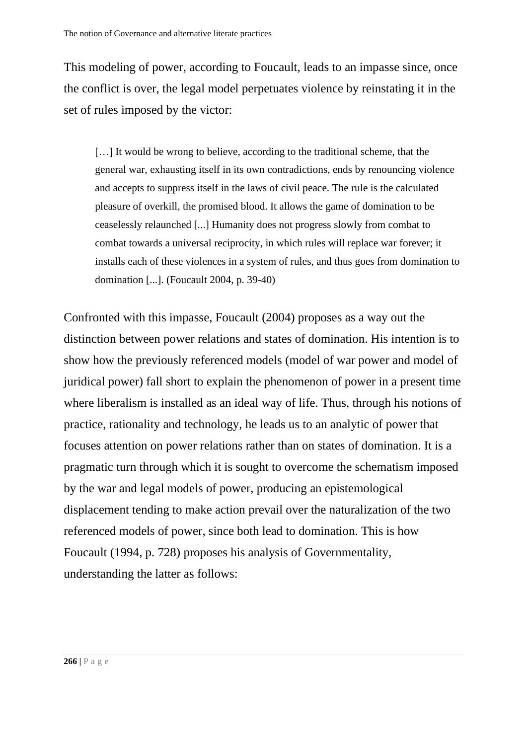This modeling of power, according to Foucault, leads to an impasse since, once the conflict is over, the legal model perpetuates violence by reinstating it in the set of rules imposed by the victor:

[…] It would be wrong to believe, according to the traditional scheme, that the general war, exhausting itself in its own contradictions, ends by renouncing violence and accepts to suppress itself in the laws of civil peace. The rule is the calculated pleasure of overkill, the promised blood. It allows the game of domination to be ceaselessly relaunched [...] Humanity does not progress slowly from combat to combat towards a universal reciprocity, in which rules will replace war forever; it installs each of these violences in a system of rules, and thus goes from domination to domination [...]. (Foucault 2004, p. 39-40)

Confronted with this impasse, Foucault (2004) proposes as a way out the distinction between power relations and states of domination. His intention is to show how the previously referenced models (model of war power and model of juridical power) fall short to explain the phenomenon of power in a present time where liberalism is installed as an ideal way of life. Thus, through his notions of practice, rationality and technology, he leads us to an analytic of power that focuses attention on power relations rather than on states of domination. It is a pragmatic turn through which it is sought to overcome the schematism imposed by the war and legal models of power, producing an epistemological displacement tending to make action prevail over the naturalization of the two referenced models of power, since both lead to domination. This is how Foucault (1994, p. 728) proposes his analysis of Governmentality, understanding the latter as follows: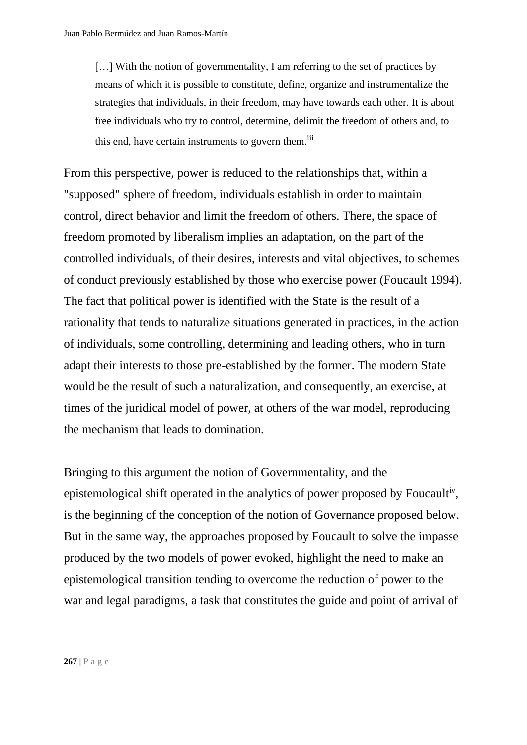[...] With the notion of governmentality, I am referring to the set of practices by means of which it is possible to constitute, define, organize and instrumentalize the strategies that individuals, in their freedom, may have towards each other. It is about free individuals who try to control, determine, delimit the freedom of others and, to this end, have certain instruments to govern them.<sup>iii</sup>

From this perspective, power is reduced to the relationships that, within a "supposed" sphere of freedom, individuals establish in order to maintain control, direct behavior and limit the freedom of others. There, the space of freedom promoted by liberalism implies an adaptation, on the part of the controlled individuals, of their desires, interests and vital objectives, to schemes of conduct previously established by those who exercise power (Foucault 1994). The fact that political power is identified with the State is the result of a rationality that tends to naturalize situations generated in practices, in the action of individuals, some controlling, determining and leading others, who in turn adapt their interests to those pre-established by the former. The modern State would be the result of such a naturalization, and consequently, an exercise, at times of the juridical model of power, at others of the war model, reproducing the mechanism that leads to domination.

Bringing to this argument the notion of Governmentality, and the epistemological shift operated in the analytics of power proposed by Foucaultiv, is the beginning of the conception of the notion of Governance proposed below. But in the same way, the approaches proposed by Foucault to solve the impasse produced by the two models of power evoked, highlight the need to make an epistemological transition tending to overcome the reduction of power to the war and legal paradigms, a task that constitutes the guide and point of arrival of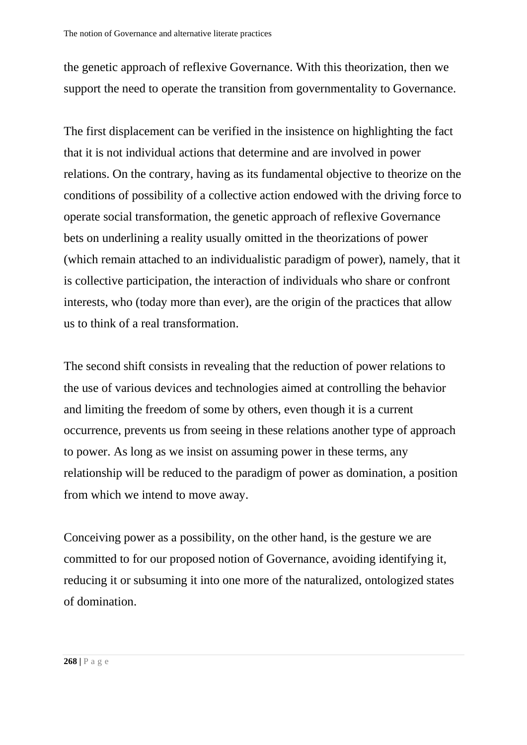the genetic approach of reflexive Governance. With this theorization, then we support the need to operate the transition from governmentality to Governance.

The first displacement can be verified in the insistence on highlighting the fact that it is not individual actions that determine and are involved in power relations. On the contrary, having as its fundamental objective to theorize on the conditions of possibility of a collective action endowed with the driving force to operate social transformation, the genetic approach of reflexive Governance bets on underlining a reality usually omitted in the theorizations of power (which remain attached to an individualistic paradigm of power), namely, that it is collective participation, the interaction of individuals who share or confront interests, who (today more than ever), are the origin of the practices that allow us to think of a real transformation.

The second shift consists in revealing that the reduction of power relations to the use of various devices and technologies aimed at controlling the behavior and limiting the freedom of some by others, even though it is a current occurrence, prevents us from seeing in these relations another type of approach to power. As long as we insist on assuming power in these terms, any relationship will be reduced to the paradigm of power as domination, a position from which we intend to move away.

Conceiving power as a possibility, on the other hand, is the gesture we are committed to for our proposed notion of Governance, avoiding identifying it, reducing it or subsuming it into one more of the naturalized, ontologized states of domination.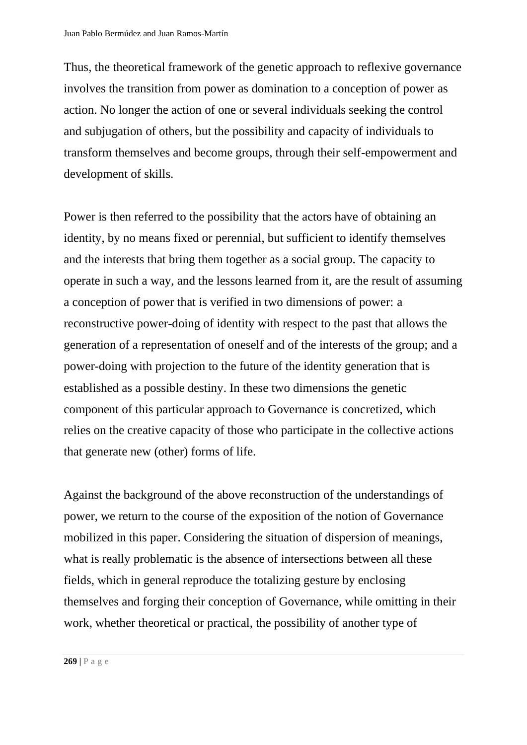Thus, the theoretical framework of the genetic approach to reflexive governance involves the transition from power as domination to a conception of power as action. No longer the action of one or several individuals seeking the control and subjugation of others, but the possibility and capacity of individuals to transform themselves and become groups, through their self-empowerment and development of skills.

Power is then referred to the possibility that the actors have of obtaining an identity, by no means fixed or perennial, but sufficient to identify themselves and the interests that bring them together as a social group. The capacity to operate in such a way, and the lessons learned from it, are the result of assuming a conception of power that is verified in two dimensions of power: a reconstructive power-doing of identity with respect to the past that allows the generation of a representation of oneself and of the interests of the group; and a power-doing with projection to the future of the identity generation that is established as a possible destiny. In these two dimensions the genetic component of this particular approach to Governance is concretized, which relies on the creative capacity of those who participate in the collective actions that generate new (other) forms of life.

Against the background of the above reconstruction of the understandings of power, we return to the course of the exposition of the notion of Governance mobilized in this paper. Considering the situation of dispersion of meanings, what is really problematic is the absence of intersections between all these fields, which in general reproduce the totalizing gesture by enclosing themselves and forging their conception of Governance, while omitting in their work, whether theoretical or practical, the possibility of another type of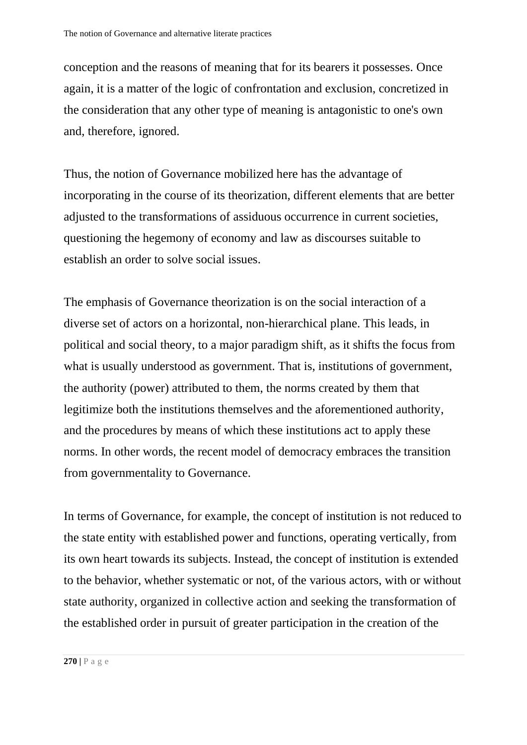conception and the reasons of meaning that for its bearers it possesses. Once again, it is a matter of the logic of confrontation and exclusion, concretized in the consideration that any other type of meaning is antagonistic to one's own and, therefore, ignored.

Thus, the notion of Governance mobilized here has the advantage of incorporating in the course of its theorization, different elements that are better adjusted to the transformations of assiduous occurrence in current societies, questioning the hegemony of economy and law as discourses suitable to establish an order to solve social issues.

The emphasis of Governance theorization is on the social interaction of a diverse set of actors on a horizontal, non-hierarchical plane. This leads, in political and social theory, to a major paradigm shift, as it shifts the focus from what is usually understood as government. That is, institutions of government, the authority (power) attributed to them, the norms created by them that legitimize both the institutions themselves and the aforementioned authority, and the procedures by means of which these institutions act to apply these norms. In other words, the recent model of democracy embraces the transition from governmentality to Governance.

In terms of Governance, for example, the concept of institution is not reduced to the state entity with established power and functions, operating vertically, from its own heart towards its subjects. Instead, the concept of institution is extended to the behavior, whether systematic or not, of the various actors, with or without state authority, organized in collective action and seeking the transformation of the established order in pursuit of greater participation in the creation of the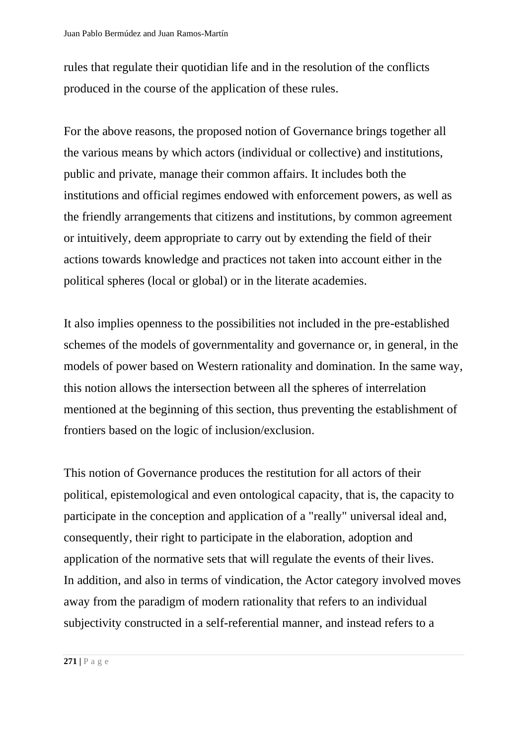rules that regulate their quotidian life and in the resolution of the conflicts produced in the course of the application of these rules.

For the above reasons, the proposed notion of Governance brings together all the various means by which actors (individual or collective) and institutions, public and private, manage their common affairs. It includes both the institutions and official regimes endowed with enforcement powers, as well as the friendly arrangements that citizens and institutions, by common agreement or intuitively, deem appropriate to carry out by extending the field of their actions towards knowledge and practices not taken into account either in the political spheres (local or global) or in the literate academies.

It also implies openness to the possibilities not included in the pre-established schemes of the models of governmentality and governance or, in general, in the models of power based on Western rationality and domination. In the same way, this notion allows the intersection between all the spheres of interrelation mentioned at the beginning of this section, thus preventing the establishment of frontiers based on the logic of inclusion/exclusion.

This notion of Governance produces the restitution for all actors of their political, epistemological and even ontological capacity, that is, the capacity to participate in the conception and application of a "really" universal ideal and, consequently, their right to participate in the elaboration, adoption and application of the normative sets that will regulate the events of their lives. In addition, and also in terms of vindication, the Actor category involved moves away from the paradigm of modern rationality that refers to an individual subjectivity constructed in a self-referential manner, and instead refers to a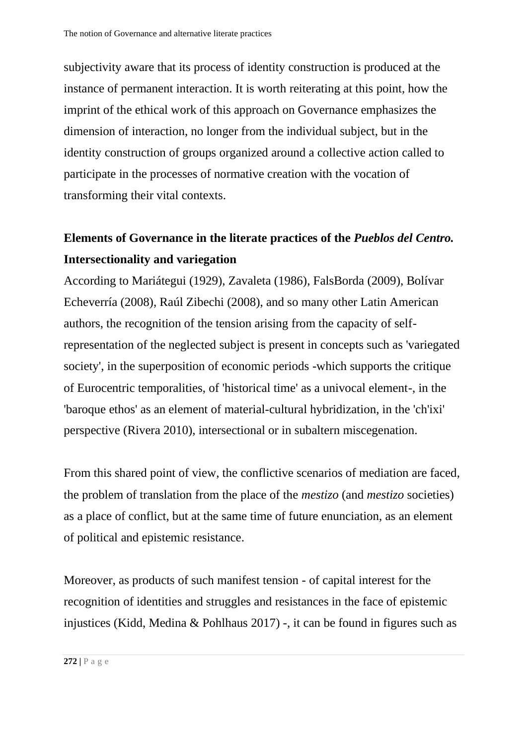subjectivity aware that its process of identity construction is produced at the instance of permanent interaction. It is worth reiterating at this point, how the imprint of the ethical work of this approach on Governance emphasizes the dimension of interaction, no longer from the individual subject, but in the identity construction of groups organized around a collective action called to participate in the processes of normative creation with the vocation of transforming their vital contexts.

# **Elements of Governance in the literate practices of the** *Pueblos del Centro.* **Intersectionality and variegation**

According to Mariátegui (1929), Zavaleta (1986), FalsBorda (2009), Bolívar Echeverría (2008), Raúl Zibechi (2008), and so many other Latin American authors, the recognition of the tension arising from the capacity of selfrepresentation of the neglected subject is present in concepts such as 'variegated society', in the superposition of economic periods -which supports the critique of Eurocentric temporalities, of 'historical time' as a univocal element-, in the 'baroque ethos' as an element of material-cultural hybridization, in the 'ch'ixi' perspective (Rivera 2010), intersectional or in subaltern miscegenation.

From this shared point of view, the conflictive scenarios of mediation are faced, the problem of translation from the place of the *mestizo* (and *mestizo* societies) as a place of conflict, but at the same time of future enunciation, as an element of political and epistemic resistance.

Moreover, as products of such manifest tension - of capital interest for the recognition of identities and struggles and resistances in the face of epistemic injustices (Kidd, Medina & Pohlhaus 2017) -, it can be found in figures such as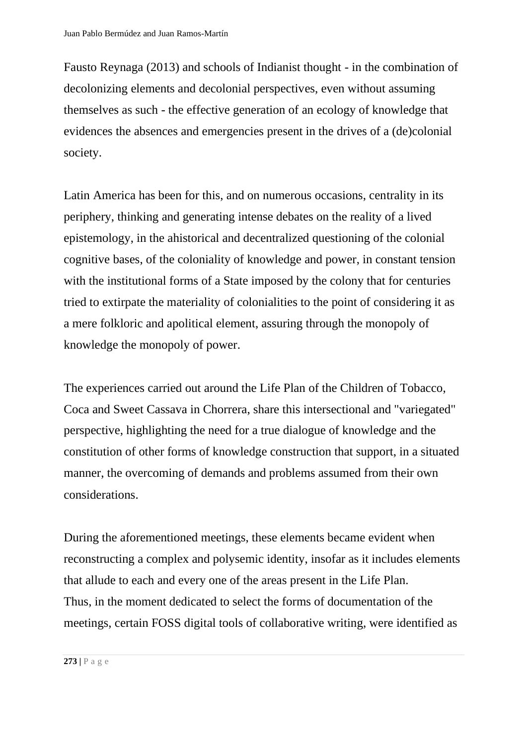Fausto Reynaga (2013) and schools of Indianist thought - in the combination of decolonizing elements and decolonial perspectives, even without assuming themselves as such - the effective generation of an ecology of knowledge that evidences the absences and emergencies present in the drives of a (de)colonial society.

Latin America has been for this, and on numerous occasions, centrality in its periphery, thinking and generating intense debates on the reality of a lived epistemology, in the ahistorical and decentralized questioning of the colonial cognitive bases, of the coloniality of knowledge and power, in constant tension with the institutional forms of a State imposed by the colony that for centuries tried to extirpate the materiality of colonialities to the point of considering it as a mere folkloric and apolitical element, assuring through the monopoly of knowledge the monopoly of power.

The experiences carried out around the Life Plan of the Children of Tobacco, Coca and Sweet Cassava in Chorrera, share this intersectional and "variegated" perspective, highlighting the need for a true dialogue of knowledge and the constitution of other forms of knowledge construction that support, in a situated manner, the overcoming of demands and problems assumed from their own considerations.

During the aforementioned meetings, these elements became evident when reconstructing a complex and polysemic identity, insofar as it includes elements that allude to each and every one of the areas present in the Life Plan. Thus, in the moment dedicated to select the forms of documentation of the meetings, certain FOSS digital tools of collaborative writing, were identified as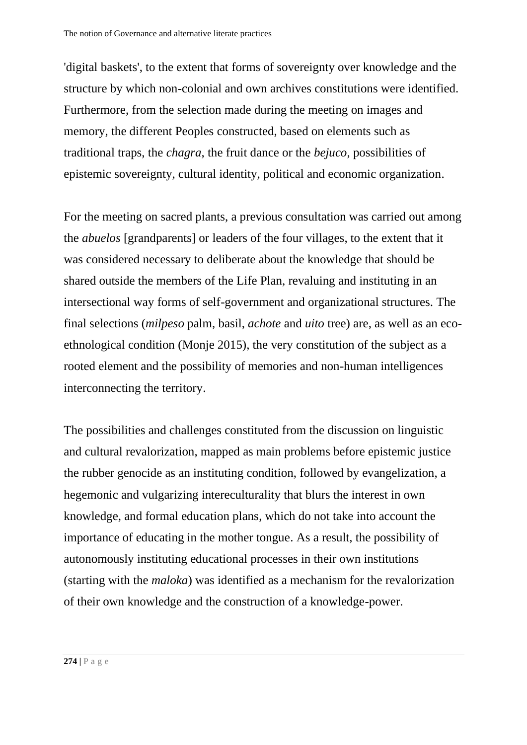'digital baskets', to the extent that forms of sovereignty over knowledge and the structure by which non-colonial and own archives constitutions were identified. Furthermore, from the selection made during the meeting on images and memory, the different Peoples constructed, based on elements such as traditional traps, the *chagra*, the fruit dance or the *bejuco*, possibilities of epistemic sovereignty, cultural identity, political and economic organization.

For the meeting on sacred plants, a previous consultation was carried out among the *abuelos* [grandparents] or leaders of the four villages, to the extent that it was considered necessary to deliberate about the knowledge that should be shared outside the members of the Life Plan, revaluing and instituting in an intersectional way forms of self-government and organizational structures. The final selections (*milpeso* palm, basil, *achote* and *uito* tree) are, as well as an ecoethnological condition (Monje 2015), the very constitution of the subject as a rooted element and the possibility of memories and non-human intelligences interconnecting the territory.

The possibilities and challenges constituted from the discussion on linguistic and cultural revalorization, mapped as main problems before epistemic justice the rubber genocide as an instituting condition, followed by evangelization, a hegemonic and vulgarizing intereculturality that blurs the interest in own knowledge, and formal education plans, which do not take into account the importance of educating in the mother tongue. As a result, the possibility of autonomously instituting educational processes in their own institutions (starting with the *maloka*) was identified as a mechanism for the revalorization of their own knowledge and the construction of a knowledge-power.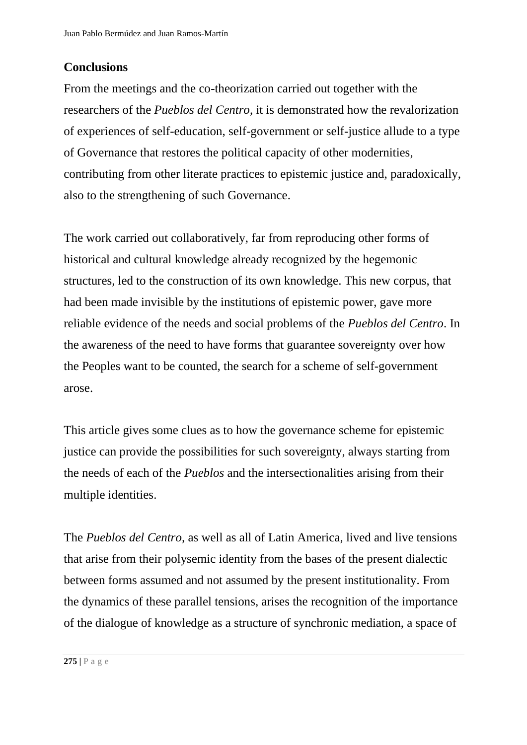## **Conclusions**

From the meetings and the co-theorization carried out together with the researchers of the *Pueblos del Centro*, it is demonstrated how the revalorization of experiences of self-education, self-government or self-justice allude to a type of Governance that restores the political capacity of other modernities, contributing from other literate practices to epistemic justice and, paradoxically, also to the strengthening of such Governance.

The work carried out collaboratively, far from reproducing other forms of historical and cultural knowledge already recognized by the hegemonic structures, led to the construction of its own knowledge. This new corpus, that had been made invisible by the institutions of epistemic power, gave more reliable evidence of the needs and social problems of the *Pueblos del Centro*. In the awareness of the need to have forms that guarantee sovereignty over how the Peoples want to be counted, the search for a scheme of self-government arose.

This article gives some clues as to how the governance scheme for epistemic justice can provide the possibilities for such sovereignty, always starting from the needs of each of the *Pueblos* and the intersectionalities arising from their multiple identities.

The *Pueblos del Centro,* as well as all of Latin America, lived and live tensions that arise from their polysemic identity from the bases of the present dialectic between forms assumed and not assumed by the present institutionality. From the dynamics of these parallel tensions, arises the recognition of the importance of the dialogue of knowledge as a structure of synchronic mediation, a space of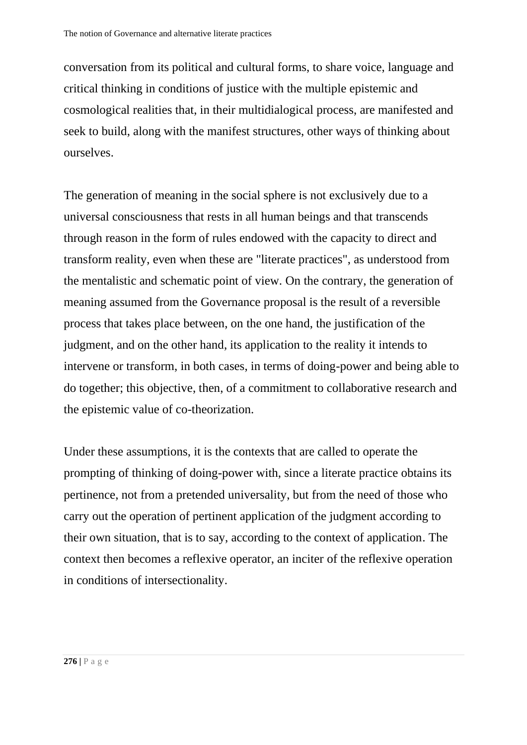conversation from its political and cultural forms, to share voice, language and critical thinking in conditions of justice with the multiple epistemic and cosmological realities that, in their multidialogical process, are manifested and seek to build, along with the manifest structures, other ways of thinking about ourselves.

The generation of meaning in the social sphere is not exclusively due to a universal consciousness that rests in all human beings and that transcends through reason in the form of rules endowed with the capacity to direct and transform reality, even when these are "literate practices", as understood from the mentalistic and schematic point of view. On the contrary, the generation of meaning assumed from the Governance proposal is the result of a reversible process that takes place between, on the one hand, the justification of the judgment, and on the other hand, its application to the reality it intends to intervene or transform, in both cases, in terms of doing-power and being able to do together; this objective, then, of a commitment to collaborative research and the epistemic value of co-theorization.

Under these assumptions, it is the contexts that are called to operate the prompting of thinking of doing-power with, since a literate practice obtains its pertinence, not from a pretended universality, but from the need of those who carry out the operation of pertinent application of the judgment according to their own situation, that is to say, according to the context of application. The context then becomes a reflexive operator, an inciter of the reflexive operation in conditions of intersectionality.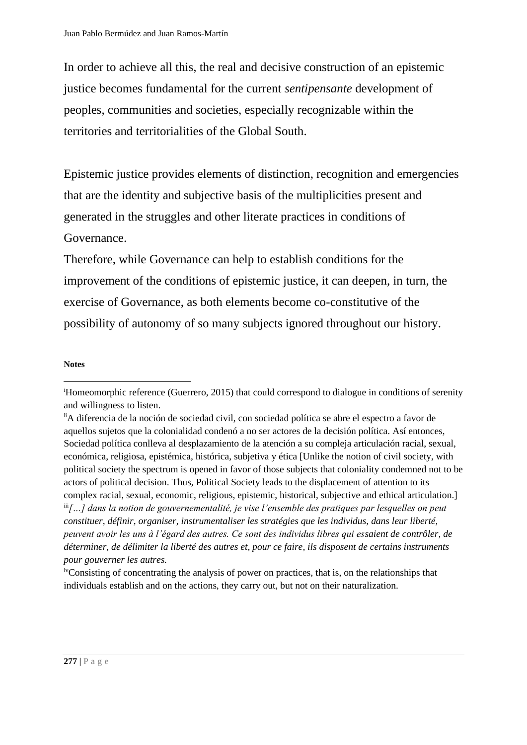In order to achieve all this, the real and decisive construction of an epistemic justice becomes fundamental for the current *sentipensante* development of peoples, communities and societies, especially recognizable within the territories and territorialities of the Global South.

Epistemic justice provides elements of distinction, recognition and emergencies that are the identity and subjective basis of the multiplicities present and generated in the struggles and other literate practices in conditions of Governance.

Therefore, while Governance can help to establish conditions for the improvement of the conditions of epistemic justice, it can deepen, in turn, the exercise of Governance, as both elements become co-constitutive of the possibility of autonomy of so many subjects ignored throughout our history.

#### **Notes**

<sup>i</sup>Homeomorphic reference (Guerrero, 2015) that could correspond to dialogue in conditions of serenity and willingness to listen.

iiA diferencia de la noción de sociedad civil, con sociedad política se abre el espectro a favor de aquellos sujetos que la colonialidad condenó a no ser actores de la decisión política. Así entonces, Sociedad política conlleva al desplazamiento de la atención a su compleja articulación racial, sexual, económica, religiosa, epistémica, histórica, subjetiva y ética [Unlike the notion of civil society, with political society the spectrum is opened in favor of those subjects that coloniality condemned not to be actors of political decision. Thus, Political Society leads to the displacement of attention to its complex racial, sexual, economic, religious, epistemic, historical, subjective and ethical articulation.] iii *[…] dans la notion de gouvernementalité, je vise l'ensemble des pratiques par lesquelles on peut constituer, définir, organiser, instrumentaliser les stratégies que les individus, dans leur liberté, peuvent avoir les uns à l'égard des autres. Ce sont des individus libres qui essaient de contrôler, de déterminer, de délimiter la liberté des autres et, pour ce faire, ils disposent de certains instruments pour gouverner les autres.*

ivConsisting of concentrating the analysis of power on practices, that is, on the relationships that individuals establish and on the actions, they carry out, but not on their naturalization.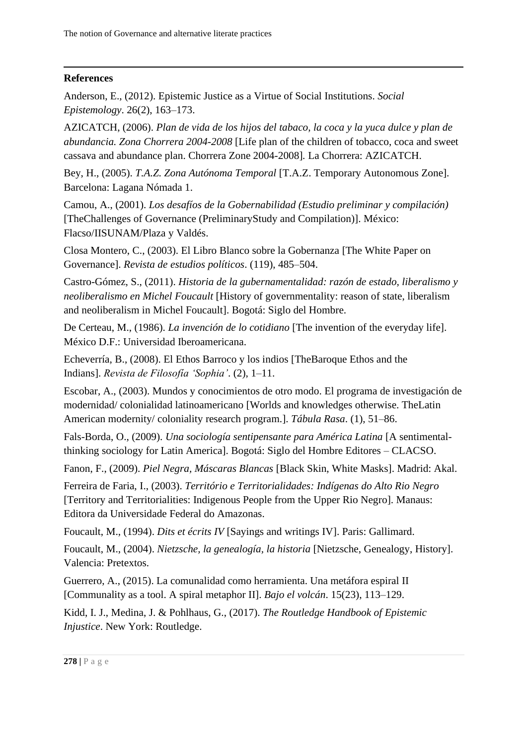### **References**

Anderson, E., (2012). Epistemic Justice as a Virtue of Social Institutions. *Social Epistemology*. 26(2), 163–173.

AZICATCH, (2006). *Plan de vida de los hijos del tabaco, la coca y la yuca dulce y plan de abundancia. Zona Chorrera 2004-2008* [Life plan of the children of tobacco, coca and sweet cassava and abundance plan. Chorrera Zone 2004-2008]*.* La Chorrera: AZICATCH.

Bey, H., (2005). *T.A.Z. Zona Autónoma Temporal* [T.A.Z. Temporary Autonomous Zone]. Barcelona: Lagana Nómada 1.

Camou, A., (2001). *Los desafíos de la Gobernabilidad (Estudio preliminar y compilación)* [TheChallenges of Governance (PreliminaryStudy and Compilation)]. México: Flacso/IISUNAM/Plaza y Valdés.

Closa Montero, C., (2003). El Libro Blanco sobre la Gobernanza [The White Paper on Governance]. *Revista de estudios políticos*. (119), 485–504.

Castro-Gómez, S., (2011). *Historia de la gubernamentalidad: razón de estado, liberalismo y neoliberalismo en Michel Foucault* [History of governmentality: reason of state, liberalism and neoliberalism in Michel Foucault]. Bogotá: Siglo del Hombre.

De Certeau, M., (1986). *La invención de lo cotidiano* [The invention of the everyday life]. México D.F.: Universidad Iberoamericana.

Echeverría, B., (2008). El Ethos Barroco y los indios [TheBaroque Ethos and the Indians]. *Revista de Filosofía 'Sophia'*. (2), 1–11.

Escobar, A., (2003). Mundos y conocimientos de otro modo. El programa de investigación de modernidad/ colonialidad latinoamericano [Worlds and knowledges otherwise. TheLatin American modernity/ coloniality research program.]. *Tábula Rasa*. (1), 51–86.

Fals-Borda, O., (2009). *Una sociología sentipensante para América Latina* [A sentimentalthinking sociology for Latin America]. Bogotá: Siglo del Hombre Editores – CLACSO.

Fanon, F., (2009). *Piel Negra, Máscaras Blancas* [Black Skin, White Masks]. Madrid: Akal.

Ferreira de Faria, I., (2003). *Território e Territorialidades: Indígenas do Alto Rio Negro* [Territory and Territorialities: Indigenous People from the Upper Rio Negro]. Manaus: Editora da Universidade Federal do Amazonas.

Foucault, M., (1994). *Dits et écrits IV* [Sayings and writings IV]. Paris: Gallimard.

Foucault, M., (2004). *Nietzsche, la genealogía, la historia* [Nietzsche, Genealogy, History]. Valencia: Pretextos.

Guerrero, A., (2015). La comunalidad como herramienta. Una metáfora espiral II [Communality as a tool. A spiral metaphor II]. *Bajo el volcán*. 15(23), 113–129.

Kidd, I. J., Medina, J. & Pohlhaus, G., (2017). *The Routledge Handbook of Epistemic Injustice*. New York: Routledge.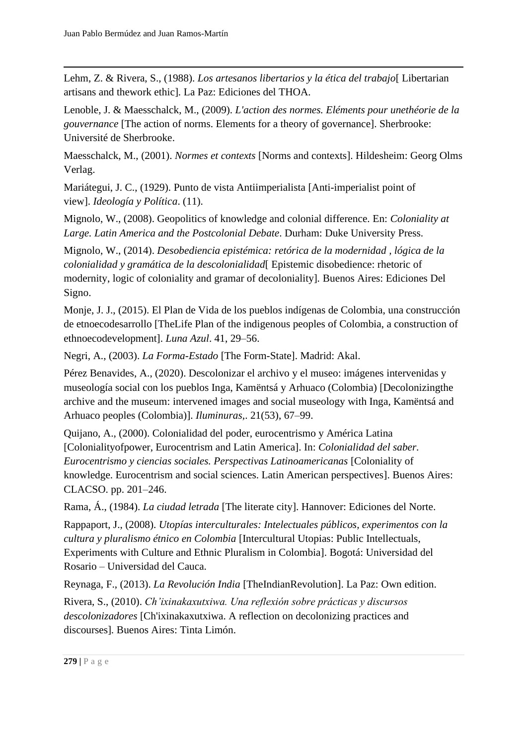Lehm, Z. & Rivera, S., (1988). *Los artesanos libertarios y la ética del trabajo*[ Libertarian artisans and thework ethic]*.* La Paz: Ediciones del THOA.

Lenoble, J. & Maesschalck, M., (2009). *L'action des normes. Eléments pour unethéorie de la gouvernance* [The action of norms. Elements for a theory of governance]. Sherbrooke: Université de Sherbrooke.

Maesschalck, M., (2001). *Normes et contexts* [Norms and contexts]. Hildesheim: Georg Olms Verlag.

Mariátegui, J. C., (1929). Punto de vista Antiimperialista [Anti-imperialist point of view]. *Ideología y Política*. (11).

Mignolo, W., (2008). Geopolitics of knowledge and colonial difference. En: *Coloniality at Large. Latin America and the Postcolonial Debate*. Durham: Duke University Press.

Mignolo, W., (2014). *Desobediencia epistémica: retórica de la modernidad , lógica de la colonialidad y gramática de la descolonialidad*[ Epistemic disobedience: rhetoric of modernity, logic of coloniality and gramar of decoloniality]*.* Buenos Aires: Ediciones Del Signo.

Monje, J. J., (2015). El Plan de Vida de los pueblos indígenas de Colombia, una construcción de etnoecodesarrollo [TheLife Plan of the indigenous peoples of Colombia, a construction of ethnoecodevelopment]. *Luna Azul*. 41, 29–56.

Negri, A., (2003). *La Forma-Estado* [The Form-State]. Madrid: Akal.

Pérez Benavides, A., (2020). Descolonizar el archivo y el museo: imágenes intervenidas y museología social con los pueblos Inga, Kamëntsá y Arhuaco (Colombia) [Decolonizingthe archive and the museum: intervened images and social museology with Inga, Kamëntsá and Arhuaco peoples (Colombia)]. *Iluminuras,*. 21(53), 67–99.

Quijano, A., (2000). Colonialidad del poder, eurocentrismo y América Latina [Colonialityofpower, Eurocentrism and Latin America]. In: *Colonialidad del saber. Eurocentrismo y ciencias sociales. Perspectivas Latinoamericanas* [Coloniality of knowledge. Eurocentrism and social sciences. Latin American perspectives]. Buenos Aires: CLACSO. pp. 201–246.

Rama, Á., (1984). *La ciudad letrada* [The literate city]. Hannover: Ediciones del Norte.

Rappaport, J., (2008). *Utopías interculturales: Intelectuales públicos, experimentos con la cultura y pluralismo étnico en Colombia* [Intercultural Utopias: Public Intellectuals, Experiments with Culture and Ethnic Pluralism in Colombia]. Bogotá: Universidad del Rosario – Universidad del Cauca.

Reynaga, F., (2013). *La Revolución India* [TheIndianRevolution]. La Paz: Own edition.

Rivera, S., (2010). *Ch'ixinakaxutxiwa. Una reflexión sobre prácticas y discursos descolonizadores* [Ch'ixinakaxutxiwa. A reflection on decolonizing practices and discourses]*.* Buenos Aires: Tinta Limón.